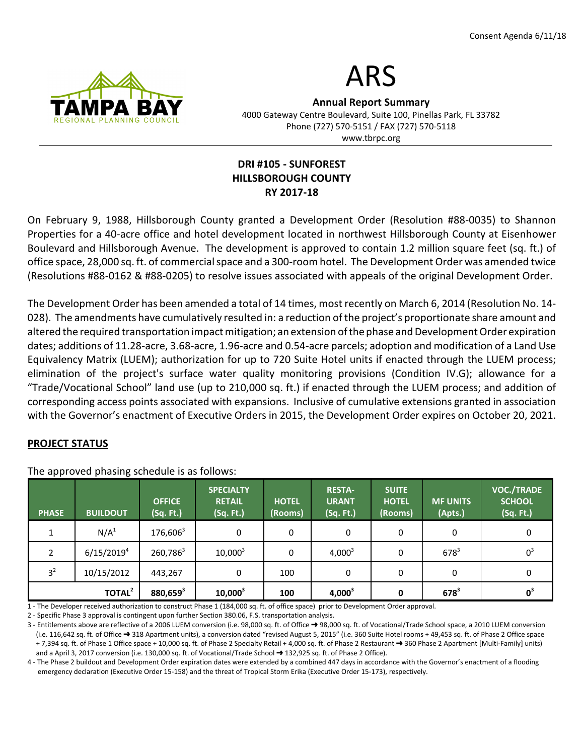



Annual Report Summary 4000 Gateway Centre Boulevard, Suite 100, Pinellas Park, FL 33782 Phone (727) 570-5151 / FAX (727) 570-5118 www.tbrpc.org

### DRI #105 - SUNFOREST HILLSBOROUGH COUNTY RY 2017-18

On February 9, 1988, Hillsborough County granted a Development Order (Resolution #88-0035) to Shannon Properties for a 40-acre office and hotel development located in northwest Hillsborough County at Eisenhower Boulevard and Hillsborough Avenue. The development is approved to contain 1.2 million square feet (sq. ft.) of office space, 28,000 sq. ft. of commercial space and a 300-room hotel. The Development Order was amended twice (Resolutions #88-0162 & #88-0205) to resolve issues associated with appeals of the original Development Order.

The Development Order has been amended a total of 14 times, most recently on March 6, 2014 (Resolution No. 14- 028). The amendments have cumulatively resulted in: a reduction of the project's proportionate share amount and altered the required transportation impact mitigation; an extension of the phase and Development Order expiration dates; additions of 11.28-acre, 3.68-acre, 1.96-acre and 0.54-acre parcels; adoption and modification of a Land Use Equivalency Matrix (LUEM); authorization for up to 720 Suite Hotel units if enacted through the LUEM process; elimination of the project's surface water quality monitoring provisions (Condition IV.G); allowance for a "Trade/Vocational School" land use (up to 210,000 sq. ft.) if enacted through the LUEM process; and addition of corresponding access points associated with expansions. Inclusive of cumulative extensions granted in association with the Governor's enactment of Executive Orders in 2015, the Development Order expires on October 20, 2021.

#### PROJECT STATUS

| <b>PHASE</b>   | <b>BUILDOUT</b>    | <b>OFFICE</b><br>(Sq. Ft.) | <b>SPECIALTY</b><br><b>RETAIL</b><br>(Sq. Ft.) | <b>HOTEL</b><br>(Rooms) | <b>RESTA-</b><br><b>URANT</b><br>(Sq. Ft.) | <b>SUITE</b><br><b>HOTEL</b><br>(Rooms) | <b>MF UNITS</b><br>(Apts.) | <b>VOC./TRADE</b><br><b>SCHOOL</b><br>(Sq. Ft.) |
|----------------|--------------------|----------------------------|------------------------------------------------|-------------------------|--------------------------------------------|-----------------------------------------|----------------------------|-------------------------------------------------|
|                | N/A <sup>1</sup>   | 176,606 <sup>3</sup>       | $\mathbf 0$                                    | 0                       | 0                                          | $\Omega$                                | 0                          | 0                                               |
| 2              | $6/15/2019^{4}$    | 260,7863                   | $10,000^3$                                     | 0                       | $4,000^3$                                  | 0                                       | $678^{3}$                  | $0^3$                                           |
| 3 <sup>2</sup> | 10/15/2012         | 443,267                    | 0                                              | 100                     | 0                                          | 0                                       | 0                          | 0                                               |
|                | TOTAL <sup>2</sup> | 880,659 <sup>3</sup>       | $10,000^3$                                     | 100                     | $4,000^3$                                  | 0                                       | $678^{3}$                  | $0^3$                                           |

The approved phasing schedule is as follows:

1 - The Developer received authorization to construct Phase 1 (184,000 sq. ft. of office space) prior to Development Order approval.

2 - Specific Phase 3 approval is contingent upon further Section 380.06, F.S. transportation analysis.

3 - Entitlements above are reflective of a 2006 LUEM conversion (i.e. 98,000 sq. ft. of Office → 98,000 sq. ft. of Vocational/Trade School space, a 2010 LUEM conversion (i.e. 116,642 sq. ft. of Office º 318 Apartment units), a conversion dated "revised August 5, 2015" (i.e. 360 Suite Hotel rooms + 49,453 sq. ft. of Phase 2 Office space +7,394 sq. ft. of Phase 1 Office space + 10,000 sq. ft. of Phase 2 Specialty Retail + 4,000 sq. ft. of Phase 2 Restaurant → 360 Phase 2 Apartment [Multi-Family] units) and a April 3, 2017 conversion (i.e. 130,000 sq. ft. of Vocational/Trade School  $\rightarrow$  132,925 sq. ft. of Phase 2 Office).

4 - The Phase 2 buildout and Development Order expiration dates were extended by a combined 447 days in accordance with the Governor's enactment of a flooding emergency declaration (Executive Order 15-158) and the threat of Tropical Storm Erika (Executive Order 15-173), respectively.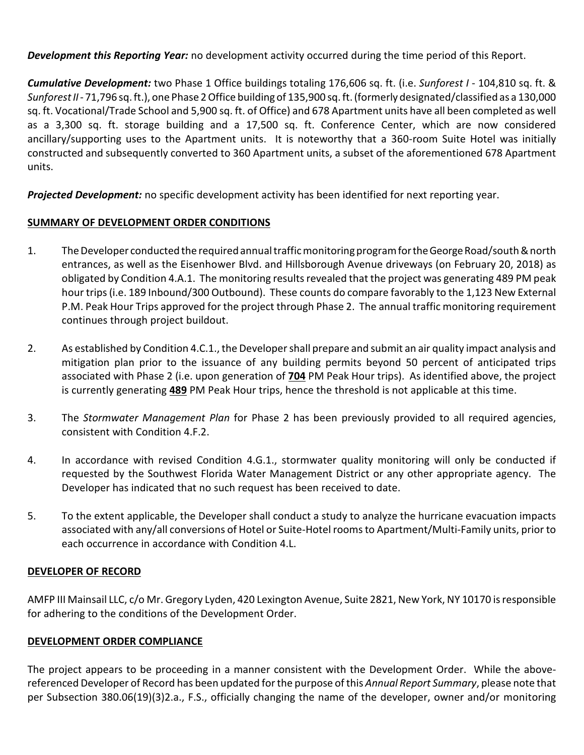**Development this Reporting Year:** no development activity occurred during the time period of this Report.

Cumulative Development: two Phase 1 Office buildings totaling 176,606 sq. ft. (i.e. Sunforest I - 104,810 sq. ft. & Sunforest II - 71,796 sq. ft.), one Phase 2 Office building of 135,900 sq. ft. (formerly designated/classified as a 130,000 sq. ft. Vocational/Trade School and 5,900 sq. ft. of Office) and 678 Apartment units have all been completed as well as a 3,300 sq. ft. storage building and a 17,500 sq. ft. Conference Center, which are now considered ancillary/supporting uses to the Apartment units. It is noteworthy that a 360-room Suite Hotel was initially constructed and subsequently converted to 360 Apartment units, a subset of the aforementioned 678 Apartment units.

Projected Development: no specific development activity has been identified for next reporting year.

### SUMMARY OF DEVELOPMENT ORDER CONDITIONS

- 1. The Developer conducted the required annual traffic monitoring program for the George Road/south & north entrances, as well as the Eisenhower Blvd. and Hillsborough Avenue driveways (on February 20, 2018) as obligated by Condition 4.A.1. The monitoring results revealed that the project was generating 489 PM peak hour trips (i.e. 189 Inbound/300 Outbound). These counts do compare favorably to the 1,123 New External P.M. Peak Hour Trips approved for the project through Phase 2. The annual traffic monitoring requirement continues through project buildout.
- 2. As established by Condition 4.C.1., the Developer shall prepare and submit an air quality impact analysis and mitigation plan prior to the issuance of any building permits beyond 50 percent of anticipated trips associated with Phase 2 (i.e. upon generation of 704 PM Peak Hour trips). As identified above, the project is currently generating 489 PM Peak Hour trips, hence the threshold is not applicable at this time.
- 3. The Stormwater Management Plan for Phase 2 has been previously provided to all required agencies, consistent with Condition 4.F.2.
- 4. In accordance with revised Condition 4.G.1., stormwater quality monitoring will only be conducted if requested by the Southwest Florida Water Management District or any other appropriate agency. The Developer has indicated that no such request has been received to date.
- 5. To the extent applicable, the Developer shall conduct a study to analyze the hurricane evacuation impacts associated with any/all conversions of Hotel or Suite-Hotel rooms to Apartment/Multi-Family units, prior to each occurrence in accordance with Condition 4.L.

# DEVELOPER OF RECORD

AMFP III Mainsail LLC, c/o Mr. Gregory Lyden, 420 Lexington Avenue, Suite 2821, New York, NY 10170 is responsible for adhering to the conditions of the Development Order.

# DEVELOPMENT ORDER COMPLIANCE

The project appears to be proceeding in a manner consistent with the Development Order. While the abovereferenced Developer of Record has been updated for the purpose of this Annual Report Summary, please note that per Subsection 380.06(19)(3)2.a., F.S., officially changing the name of the developer, owner and/or monitoring